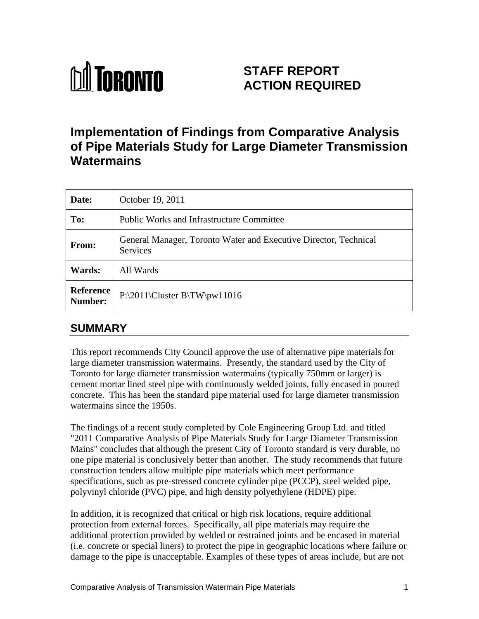

# **STAFF REPORT ACTION REQUIRED**

# **Implementation of Findings from Comparative Analysis of Pipe Materials Study for Large Diameter Transmission Watermains**

| Date:         | October 19, 2011                                                             |
|---------------|------------------------------------------------------------------------------|
| To:           | <b>Public Works and Infrastructure Committee</b>                             |
| <b>From:</b>  | General Manager, Toronto Water and Executive Director, Technical<br>Services |
| <b>Wards:</b> | All Wards                                                                    |
| Number:       | Reference   $P:\2011\Cluster B\TW\pw11016$                                   |

## **SUMMARY**

This report recommends City Council approve the use of alternative pipe materials for large diameter transmission watermains. Presently, the standard used by the City of Toronto for large diameter transmission watermains (typically 750mm or larger) is cement mortar lined steel pipe with continuously welded joints, fully encased in poured concrete. This has been the standard pipe material used for large diameter transmission watermains since the 1950s.

The findings of a recent study completed by Cole Engineering Group Ltd. and titled "2011 Comparative Analysis of Pipe Materials Study for Large Diameter Transmission Mains" concludes that although the present City of Toronto standard is very durable, no one pipe material is conclusively better than another. The study recommends that future construction tenders allow multiple pipe materials which meet performance specifications, such as pre-stressed concrete cylinder pipe (PCCP), steel welded pipe, polyvinyl chloride (PVC) pipe, and high density polyethylene (HDPE) pipe.

In addition, it is recognized that critical or high risk locations, require additional protection from external forces. Specifically, all pipe materials may require the additional protection provided by welded or restrained joints and be encased in material (i.e. concrete or special liners) to protect the pipe in geographic locations where failure or damage to the pipe is unacceptable. Examples of these types of areas include, but are not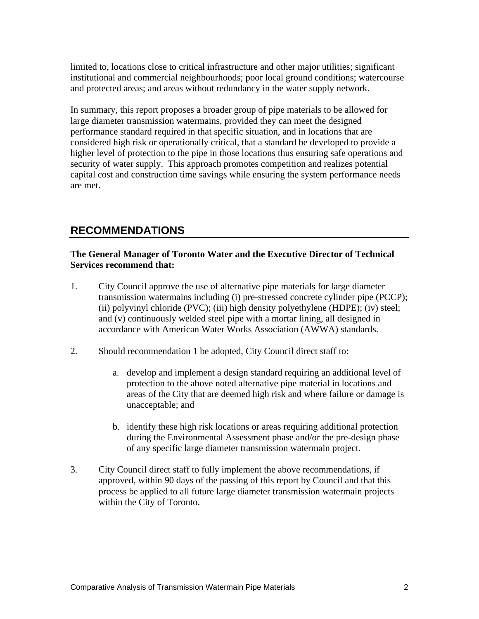limited to, locations close to critical infrastructure and other major utilities; significant institutional and commercial neighbourhoods; poor local ground conditions; watercourse and protected areas; and areas without redundancy in the water supply network.

In summary, this report proposes a broader group of pipe materials to be allowed for large diameter transmission watermains, provided they can meet the designed performance standard required in that specific situation, and in locations that are considered high risk or operationally critical, that a standard be developed to provide a higher level of protection to the pipe in those locations thus ensuring safe operations and security of water supply. This approach promotes competition and realizes potential capital cost and construction time savings while ensuring the system performance needs are met.

## **RECOMMENDATIONS**

#### **The General Manager of Toronto Water and the Executive Director of Technical Services recommend that:**

- 1. City Council approve the use of alternative pipe materials for large diameter transmission watermains including (i) pre-stressed concrete cylinder pipe (PCCP); (ii) polyvinyl chloride (PVC); (iii) high density polyethylene (HDPE); (iv) steel; and (v) continuously welded steel pipe with a mortar lining, all designed in accordance with American Water Works Association (AWWA) standards.
- 2. Should recommendation 1 be adopted, City Council direct staff to:
	- a. develop and implement a design standard requiring an additional level of protection to the above noted alternative pipe material in locations and areas of the City that are deemed high risk and where failure or damage is unacceptable; and
	- b. identify these high risk locations or areas requiring additional protection during the Environmental Assessment phase and/or the pre-design phase of any specific large diameter transmission watermain project.
- 3. City Council direct staff to fully implement the above recommendations, if approved, within 90 days of the passing of this report by Council and that this process be applied to all future large diameter transmission watermain projects within the City of Toronto.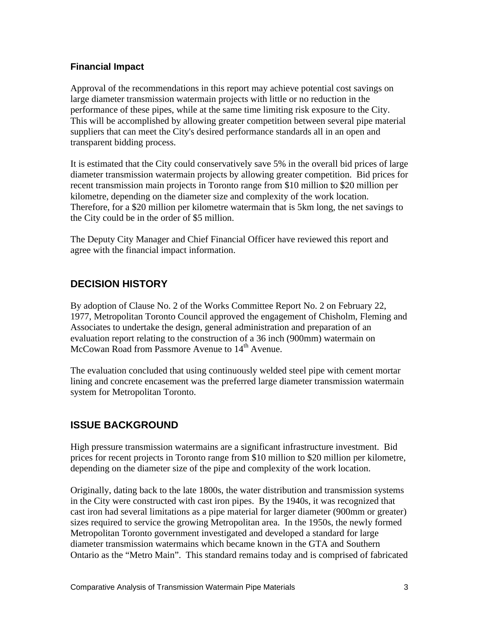#### **Financial Impact**

Approval of the recommendations in this report may achieve potential cost savings on large diameter transmission watermain projects with little or no reduction in the performance of these pipes, while at the same time limiting risk exposure to the City. This will be accomplished by allowing greater competition between several pipe material suppliers that can meet the City's desired performance standards all in an open and transparent bidding process.

It is estimated that the City could conservatively save 5% in the overall bid prices of large diameter transmission watermain projects by allowing greater competition. Bid prices for recent transmission main projects in Toronto range from \$10 million to \$20 million per kilometre, depending on the diameter size and complexity of the work location. Therefore, for a \$20 million per kilometre watermain that is 5km long, the net savings to

the City could be in the order of \$5 million.<br>The Deputy City Manager and Chief Financial Officer have reviewed this report and agree with the financial impact information.

#### **DECISION HISTORY**

By adoption of Clause No. 2 of the Works Committee Report No. 2 on February 22, 1977, Metropolitan Toronto Council approved the engagement of Chisholm, Fleming and Associates to undertake the design, general administration and preparation of an evaluation report relating to the construction of a 36 inch (900mm) watermain on McCowan Road from Passmore Avenue to 14<sup>th</sup> Avenue.

The evaluation concluded that using continuously welded steel pipe with cement mortar lining and concrete encasement was the preferred large diameter transmission watermain system for Metropolitan Toronto.

### **ISSUE BACKGROUND**

High pressure transmission watermains are a significant infrastructure investment. Bid prices for recent projects in Toronto range from \$10 million to \$20 million per kilometre, depending on the diameter size of the pipe and complexity of the work location.

Originally, dating back to the late 1800s, the water distribution and transmission systems in the City were constructed with cast iron pipes. By the 1940s, it was recognized that cast iron had several limitations as a pipe material for larger diameter (900mm or greater) sizes required to service the growing Metropolitan area. In the 1950s, the newly formed Metropolitan Toronto government investigated and developed a standard for large diameter transmission watermains which became known in the GTA and Southern Ontario as the "Metro Main". This standard remains today and is comprised of fabricated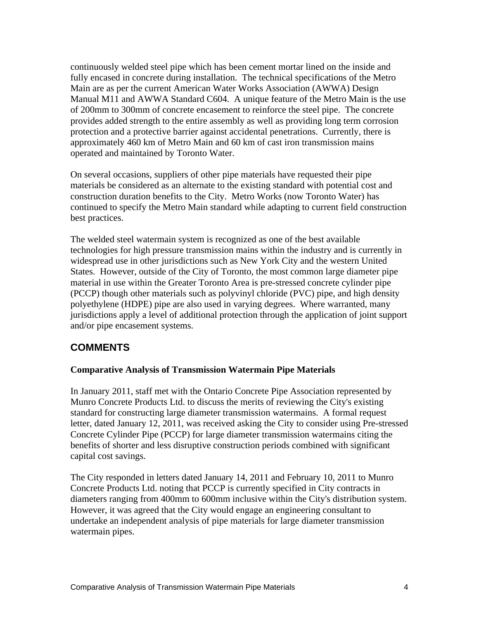continuously welded steel pipe which has been cement mortar lined on the inside and fully encased in concrete during installation. The technical specifications of the Metro Main are as per the current American Water Works Association (AWWA) Design Manual M11 and AWWA Standard C604. A unique feature of the Metro Main is the use of 200mm to 300mm of concrete encasement to reinforce the steel pipe. The concrete provides added strength to the entire assembly as well as providing long term corrosion protection and a protective barrier against accidental penetrations. Currently, there is approximately 460 km of Metro Main and 60 km of cast iron transmission mains operated and maintained by Toronto Water.

On several occasions, suppliers of other pipe materials have requested their pipe materials be considered as an alternate to the existing standard with potential cost and construction duration benefits to the City. Metro Works (now Toronto Water) has continued to specify the Metro Main standard while adapting to current field construction best practices.

The welded steel watermain system is recognized as one of the best available technologies for high pressure transmission mains within the industry and is currently in widespread use in other jurisdictions such as New York City and the western United States. However, outside of the City of Toronto, the most common large diameter pipe material in use within the Greater Toronto Area is pre-stressed concrete cylinder pipe (PCCP) though other materials such as polyvinyl chloride (PVC) pipe, and high density polyethylene (HDPE) pipe are also used in varying degrees. Where warranted, many jurisdictions apply a level of additional protection through the application of joint support and/or pipe encasement systems.

### **COMMENTS**

#### **Comparative Analysis of Transmission Watermain Pipe Materials**

In January 2011, staff met with the Ontario Concrete Pipe Association represented by Munro Concrete Products Ltd. to discuss the merits of reviewing the City's existing standard for constructing large diameter transmission watermains. A formal request letter, dated January 12, 2011, was received asking the City to consider using Pre-stressed Concrete Cylinder Pipe (PCCP) for large diameter transmission watermains citing the benefits of shorter and less disruptive construction periods combined with significant capital cost savings.

The City responded in letters dated January 14, 2011 and February 10, 2011 to Munro Concrete Products Ltd. noting that PCCP is currently specified in City contracts in diameters ranging from 400mm to 600mm inclusive within the City's distribution system. However, it was agreed that the City would engage an engineering consultant to undertake an independent analysis of pipe materials for large diameter transmission watermain pipes.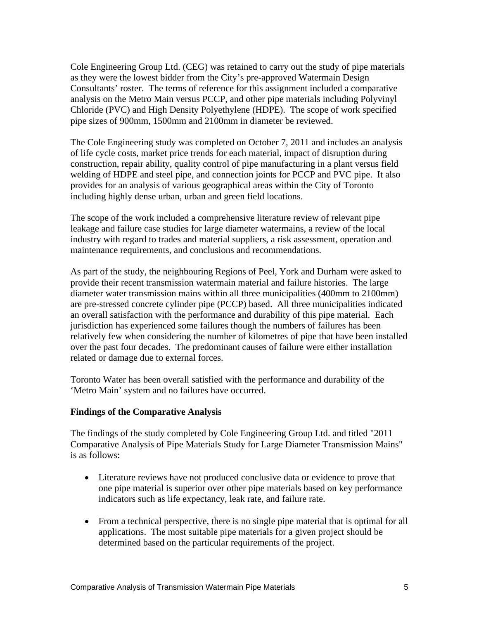Cole Engineering Group Ltd. (CEG) was retained to carry out the study of pipe materials as they were the lowest bidder from the City's pre-approved Watermain Design Consultants' roster. The terms of reference for this assignment included a comparative analysis on the Metro Main versus PCCP, and other pipe materials including Polyvinyl Chloride (PVC) and High Density Polyethylene (HDPE). The scope of work specified pipe sizes of 900mm, 1500mm and 2100mm in diameter be reviewed.

The Cole Engineering study was completed on October 7, 2011 and includes an analysis of life cycle costs, market price trends for each material, impact of disruption during construction, repair ability, quality control of pipe manufacturing in a plant versus field welding of HDPE and steel pipe, and connection joints for PCCP and PVC pipe. It also provides for an analysis of various geographical areas within the City of Toronto including highly dense urban, urban and green field locations.

The scope of the work included a comprehensive literature review of relevant pipe leakage and failure case studies for large diameter watermains, a review of the local industry with regard to trades and material suppliers, a risk assessment, operation and maintenance requirements, and conclusions and recommendations.

As part of the study, the neighbouring Regions of Peel, York and Durham were asked to provide their recent transmission watermain material and failure histories. The large diameter water transmission mains within all three municipalities (400mm to 2100mm) are pre-stressed concrete cylinder pipe (PCCP) based. All three municipalities indicated an overall satisfaction with the performance and durability of this pipe material. Each jurisdiction has experienced some failures though the numbers of failures has been relatively few when considering the number of kilometres of pipe that have been installed over the past four decades. The predominant causes of failure were either installation related or damage due to external forces.

Toronto Water has been overall satisfied with the performance and durability of the 'Metro Main' system and no failures have occurred.

#### **Findings of the Comparative Analysis**

The findings of the study completed by Cole Engineering Group Ltd. and titled "2011 Comparative Analysis of Pipe Materials Study for Large Diameter Transmission Mains" is as follows:

- Literature reviews have not produced conclusive data or evidence to prove that one pipe material is superior over other pipe materials based on key performance indicators such as life expectancy, leak rate, and failure rate.
- From a technical perspective, there is no single pipe material that is optimal for all applications. The most suitable pipe materials for a given project should be determined based on the particular requirements of the project.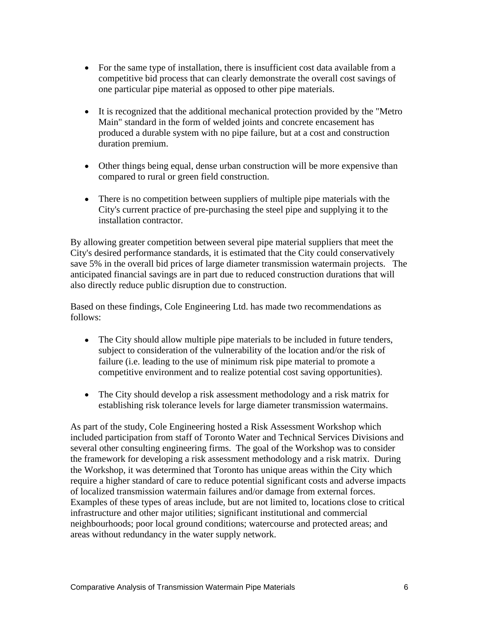- For the same type of installation, there is insufficient cost data available from a competitive bid process that can clearly demonstrate the overall cost savings of
- one particular pipe material as opposed to other pipe materials.<br>• It is recognized that the additional mechanical protection provided by the "Metro" Main" standard in the form of welded joints and concrete encasement has produced a durable system with no pipe failure, but at a cost and construction duration premium.
- Other things being equal, dense urban construction will be more expensive than compared to rural or green field construction.
- There is no competition between suppliers of multiple pipe materials with the City's current practice of pre-purchasing the steel pipe and supplying it to the installation contractor.

By allowing greater competition between several pipe material suppliers that meet the City's desired performance standards, it is estimated that the City could conservatively save 5% in the overall bid prices of large diameter transmission watermain projects. The anticipated financial savings are in part due to reduced construction durations that will

also directly reduce public disruption due to construction.<br>Based on these findings, Cole Engineering Ltd. has made two recommendations as follows:

- The City should allow multiple pipe materials to be included in future tenders, subject to consideration of the vulnerability of the location and/or the risk of failure (i.e. leading to the use of minimum risk pipe material to promote a competitive environment and to realize potential cost saving opportunities).
- $\bullet$ The City should develop a risk assessment methodology and a risk matrix for establishing risk tolerance levels for large diameter transmission watermains.

As part of the study, Cole Engineering hosted a Risk Assessment Workshop which included participation from staff of Toronto Water and Technical Services Divisions and several other consulting engineering firms. The goal of the Workshop was to consider the framework for developing a risk assessment methodology and a risk matrix. During the Workshop, it was determined that Toronto has unique areas within the City which require a higher standard of care to reduce potential significant costs and adverse impacts of localized transmission watermain failures and/or damage from external forces. Examples of these types of areas include, but are not limited to, locations close to critical infrastructure and other major utilities; significant institutional and commercial neighbourhoods; poor local ground conditions; watercourse and protected areas; and areas without redundancy in the water supply network.